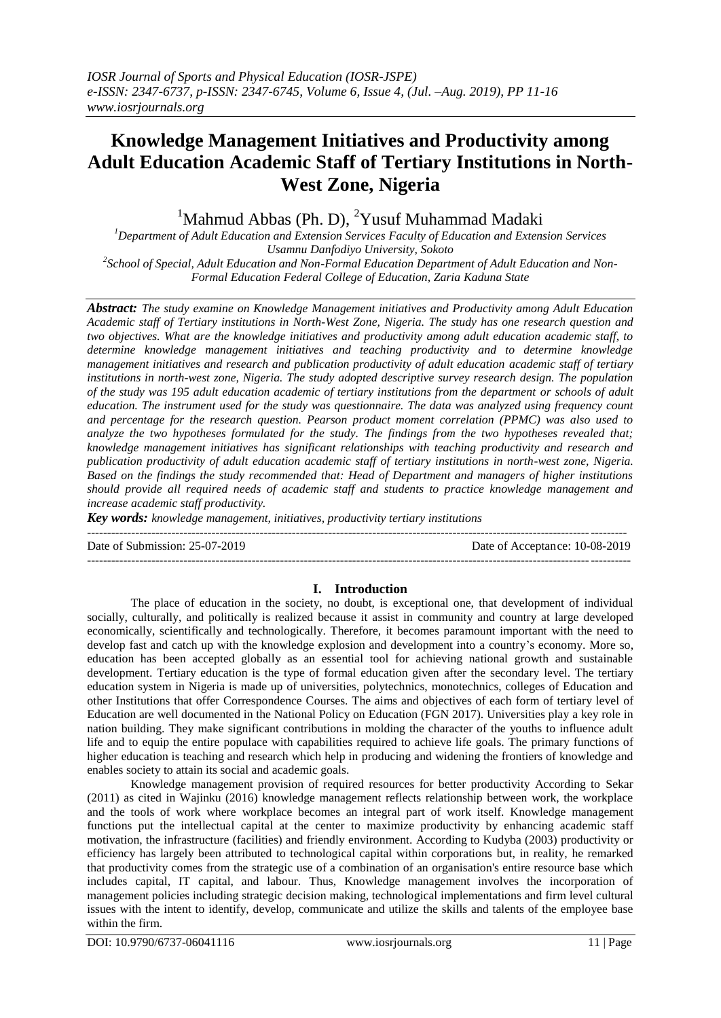# **Knowledge Management Initiatives and Productivity among Adult Education Academic Staff of Tertiary Institutions in North-West Zone, Nigeria**

 $1$ Mahmud Abbas (Ph. D),  $2$ Yusuf Muhammad Madaki

*<sup>1</sup>Department of Adult Education and Extension Services Faculty of Education and Extension Services Usamnu Danfodiyo University, Sokoto 2 School of Special, Adult Education and Non-Formal Education Department of Adult Education and Non-*

*Formal Education Federal College of Education, Zaria Kaduna State*

*Abstract: The study examine on Knowledge Management initiatives and Productivity among Adult Education Academic staff of Tertiary institutions in North-West Zone, Nigeria. The study has one research question and two objectives. What are the knowledge initiatives and productivity among adult education academic staff, to determine knowledge management initiatives and teaching productivity and to determine knowledge management initiatives and research and publication productivity of adult education academic staff of tertiary institutions in north-west zone, Nigeria. The study adopted descriptive survey research design. The population of the study was 195 adult education academic of tertiary institutions from the department or schools of adult education. The instrument used for the study was questionnaire. The data was analyzed using frequency count and percentage for the research question. Pearson product moment correlation (PPMC) was also used to analyze the two hypotheses formulated for the study. The findings from the two hypotheses revealed that; knowledge management initiatives has significant relationships with teaching productivity and research and publication productivity of adult education academic staff of tertiary institutions in north-west zone, Nigeria. Based on the findings the study recommended that: Head of Department and managers of higher institutions should provide all required needs of academic staff and students to practice knowledge management and increase academic staff productivity.* 

*Key words: knowledge management, initiatives, productivity tertiary institutions*

Date of Submission: 25-07-2019 Date of Acceptance: 10-08-2019

## **I. Introduction**

---------------------------------------------------------------------------------------------------------------------------------------

--------------------------------------------------------------------------------------------------------------------------------------

The place of education in the society, no doubt, is exceptional one, that development of individual socially, culturally, and politically is realized because it assist in community and country at large developed economically, scientifically and technologically. Therefore, it becomes paramount important with the need to develop fast and catch up with the knowledge explosion and development into a country's economy. More so, education has been accepted globally as an essential tool for achieving national growth and sustainable development. Tertiary education is the type of formal education given after the secondary level. The tertiary education system in Nigeria is made up of universities, polytechnics, monotechnics, colleges of Education and other Institutions that offer Correspondence Courses. The aims and objectives of each form of tertiary level of Education are well documented in the National Policy on Education (FGN 2017). Universities play a key role in nation building. They make significant contributions in molding the character of the youths to influence adult life and to equip the entire populace with capabilities required to achieve life goals. The primary functions of higher education is teaching and research which help in producing and widening the frontiers of knowledge and enables society to attain its social and academic goals.

Knowledge management provision of required resources for better productivity According to Sekar (2011) as cited in Wajinku (2016) knowledge management reflects relationship between work, the workplace and the tools of work where workplace becomes an integral part of work itself. Knowledge management functions put the intellectual capital at the center to maximize productivity by enhancing academic staff motivation, the infrastructure (facilities) and friendly environment. According to Kudyba (2003) productivity or efficiency has largely been attributed to technological capital within corporations but, in reality, he remarked that productivity comes from the strategic use of a combination of an organisation's entire resource base which includes capital, IT capital, and labour. Thus, Knowledge management involves the incorporation of management policies including strategic decision making, technological implementations and firm level cultural issues with the intent to identify, develop, communicate and utilize the skills and talents of the employee base within the firm.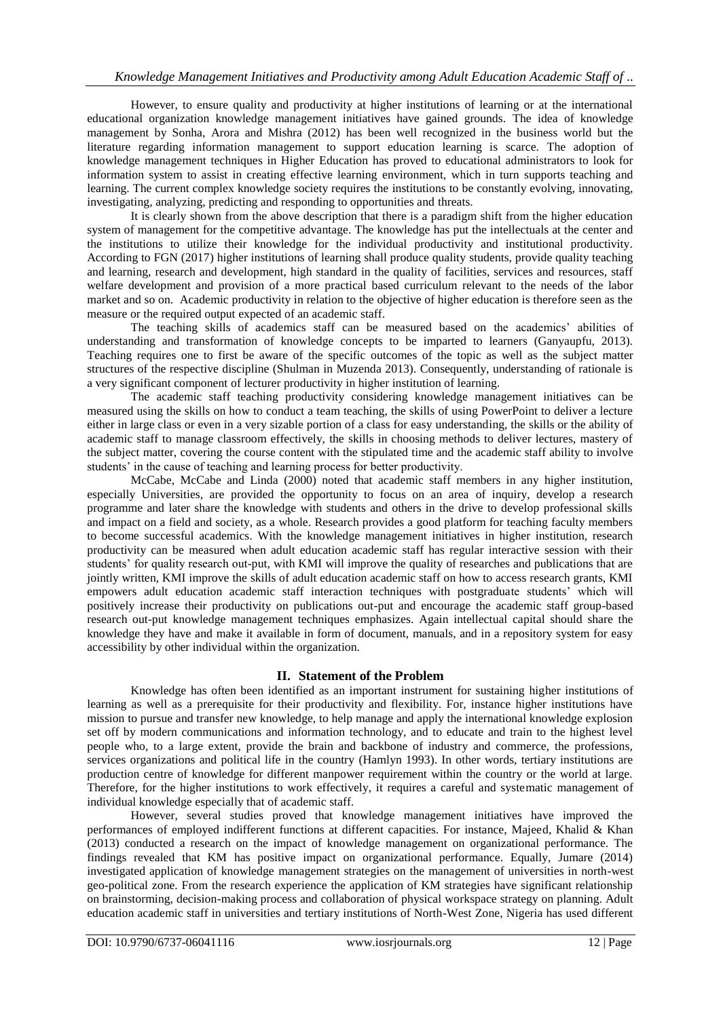However, to ensure quality and productivity at higher institutions of learning or at the international educational organization knowledge management initiatives have gained grounds. The idea of knowledge management by Sonha, Arora and Mishra (2012) has been well recognized in the business world but the literature regarding information management to support education learning is scarce. The adoption of knowledge management techniques in Higher Education has proved to educational administrators to look for information system to assist in creating effective learning environment, which in turn supports teaching and learning. The current complex knowledge society requires the institutions to be constantly evolving, innovating, investigating, analyzing, predicting and responding to opportunities and threats.

It is clearly shown from the above description that there is a paradigm shift from the higher education system of management for the competitive advantage. The knowledge has put the intellectuals at the center and the institutions to utilize their knowledge for the individual productivity and institutional productivity. According to FGN (2017) higher institutions of learning shall produce quality students, provide quality teaching and learning, research and development, high standard in the quality of facilities, services and resources, staff welfare development and provision of a more practical based curriculum relevant to the needs of the labor market and so on. Academic productivity in relation to the objective of higher education is therefore seen as the measure or the required output expected of an academic staff.

The teaching skills of academics staff can be measured based on the academics' abilities of understanding and transformation of knowledge concepts to be imparted to learners (Ganyaupfu, 2013). Teaching requires one to first be aware of the specific outcomes of the topic as well as the subject matter structures of the respective discipline (Shulman in Muzenda 2013). Consequently, understanding of rationale is a very significant component of lecturer productivity in higher institution of learning.

The academic staff teaching productivity considering knowledge management initiatives can be measured using the skills on how to conduct a team teaching, the skills of using PowerPoint to deliver a lecture either in large class or even in a very sizable portion of a class for easy understanding, the skills or the ability of academic staff to manage classroom effectively, the skills in choosing methods to deliver lectures, mastery of the subject matter, covering the course content with the stipulated time and the academic staff ability to involve students' in the cause of teaching and learning process for better productivity.

McCabe, McCabe and Linda (2000) noted that academic staff members in any higher institution, especially Universities, are provided the opportunity to focus on an area of inquiry, develop a research programme and later share the knowledge with students and others in the drive to develop professional skills and impact on a field and society, as a whole. Research provides a good platform for teaching faculty members to become successful academics. With the knowledge management initiatives in higher institution, research productivity can be measured when adult education academic staff has regular interactive session with their students' for quality research out-put, with KMI will improve the quality of researches and publications that are jointly written, KMI improve the skills of adult education academic staff on how to access research grants, KMI empowers adult education academic staff interaction techniques with postgraduate students' which will positively increase their productivity on publications out-put and encourage the academic staff group-based research out-put knowledge management techniques emphasizes. Again intellectual capital should share the knowledge they have and make it available in form of document, manuals, and in a repository system for easy accessibility by other individual within the organization.

## **II. Statement of the Problem**

Knowledge has often been identified as an important instrument for sustaining higher institutions of learning as well as a prerequisite for their productivity and flexibility. For, instance higher institutions have mission to pursue and transfer new knowledge, to help manage and apply the international knowledge explosion set off by modern communications and information technology, and to educate and train to the highest level people who, to a large extent, provide the brain and backbone of industry and commerce, the professions, services organizations and political life in the country (Hamlyn 1993). In other words, tertiary institutions are production centre of knowledge for different manpower requirement within the country or the world at large. Therefore, for the higher institutions to work effectively, it requires a careful and systematic management of individual knowledge especially that of academic staff.

However, several studies proved that knowledge management initiatives have improved the performances of employed indifferent functions at different capacities. For instance, Majeed, Khalid & Khan (2013) conducted a research on the impact of knowledge management on organizational performance. The findings revealed that KM has positive impact on organizational performance. Equally, Jumare (2014) investigated application of knowledge management strategies on the management of universities in north-west geo-political zone. From the research experience the application of KM strategies have significant relationship on brainstorming, decision-making process and collaboration of physical workspace strategy on planning. Adult education academic staff in universities and tertiary institutions of North-West Zone, Nigeria has used different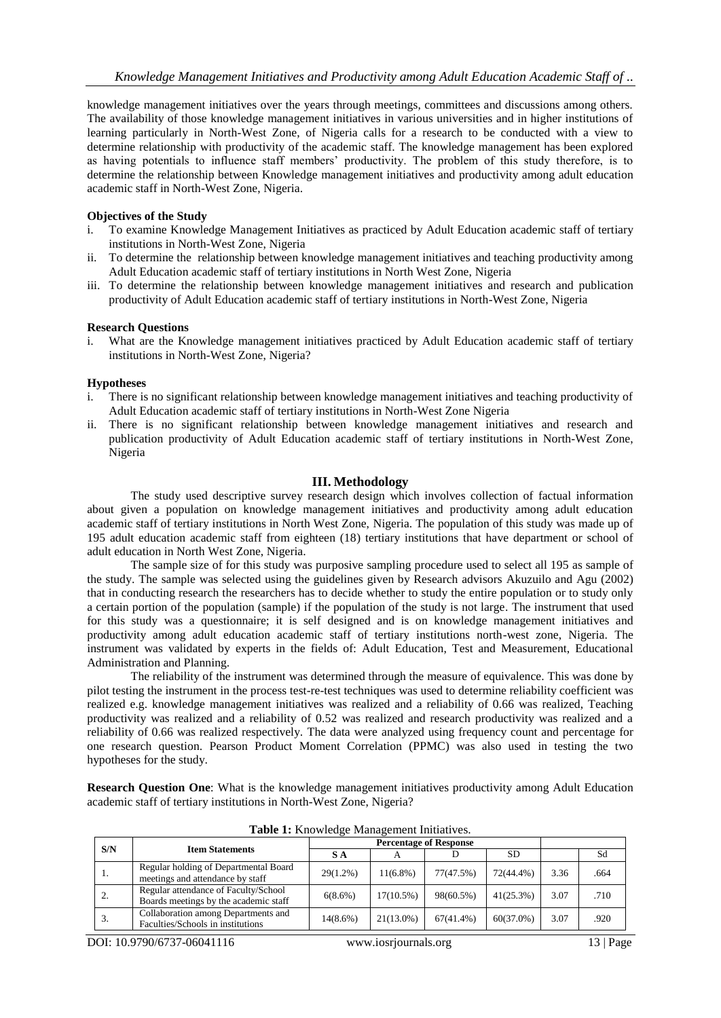knowledge management initiatives over the years through meetings, committees and discussions among others. The availability of those knowledge management initiatives in various universities and in higher institutions of learning particularly in North-West Zone, of Nigeria calls for a research to be conducted with a view to determine relationship with productivity of the academic staff. The knowledge management has been explored as having potentials to influence staff members' productivity. The problem of this study therefore, is to determine the relationship between Knowledge management initiatives and productivity among adult education academic staff in North-West Zone, Nigeria.

#### **Objectives of the Study**

- i. To examine Knowledge Management Initiatives as practiced by Adult Education academic staff of tertiary institutions in North-West Zone, Nigeria
- ii. To determine the relationship between knowledge management initiatives and teaching productivity among Adult Education academic staff of tertiary institutions in North West Zone, Nigeria
- iii. To determine the relationship between knowledge management initiatives and research and publication productivity of Adult Education academic staff of tertiary institutions in North-West Zone, Nigeria

#### **Research Questions**

i. What are the Knowledge management initiatives practiced by Adult Education academic staff of tertiary institutions in North-West Zone, Nigeria?

#### **Hypotheses**

- i. There is no significant relationship between knowledge management initiatives and teaching productivity of Adult Education academic staff of tertiary institutions in North-West Zone Nigeria
- ii. There is no significant relationship between knowledge management initiatives and research and publication productivity of Adult Education academic staff of tertiary institutions in North-West Zone, Nigeria

#### **III. Methodology**

The study used descriptive survey research design which involves collection of factual information about given a population on knowledge management initiatives and productivity among adult education academic staff of tertiary institutions in North West Zone, Nigeria. The population of this study was made up of 195 adult education academic staff from eighteen (18) tertiary institutions that have department or school of adult education in North West Zone, Nigeria.

The sample size of for this study was purposive sampling procedure used to select all 195 as sample of the study. The sample was selected using the guidelines given by Research advisors Akuzuilo and Agu (2002) that in conducting research the researchers has to decide whether to study the entire population or to study only a certain portion of the population (sample) if the population of the study is not large. The instrument that used for this study was a questionnaire; it is self designed and is on knowledge management initiatives and productivity among adult education academic staff of tertiary institutions north-west zone, Nigeria. The instrument was validated by experts in the fields of: Adult Education, Test and Measurement, Educational Administration and Planning.

The reliability of the instrument was determined through the measure of equivalence. This was done by pilot testing the instrument in the process test-re-test techniques was used to determine reliability coefficient was realized e.g. knowledge management initiatives was realized and a reliability of 0.66 was realized, Teaching productivity was realized and a reliability of 0.52 was realized and research productivity was realized and a reliability of 0.66 was realized respectively. The data were analyzed using frequency count and percentage for one research question. Pearson Product Moment Correlation (PPMC) was also used in testing the two hypotheses for the study.

**Research Question One**: What is the knowledge management initiatives productivity among Adult Education academic staff of tertiary institutions in North-West Zone, Nigeria?

|     |                                                                               | <b>Percentage of Response</b> |              |              |              |      |      |
|-----|-------------------------------------------------------------------------------|-------------------------------|--------------|--------------|--------------|------|------|
| S/N | <b>Item Statements</b>                                                        | S A                           | A            |              | SD           |      | Sd   |
| .,  | Regular holding of Departmental Board<br>meetings and attendance by staff     | $29(1.2\%)$                   | $11(6.8\%)$  | 77(47.5%)    | 72(44.4%)    | 3.36 | .664 |
|     | Regular attendance of Faculty/School<br>Boards meetings by the academic staff | $6(8.6\%)$                    | $17(10.5\%)$ | 98(60.5%)    | 41(25.3%)    | 3.07 | .710 |
| 3.  | Collaboration among Departments and<br>Faculties/Schools in institutions      | $14(8.6\%)$                   | $21(13.0\%)$ | $67(41.4\%)$ | $60(37.0\%)$ | 3.07 | .920 |

**Table 1:** Knowledge Management Initiatives.

DOI: 10.9790/6737-06041116 www.iosrjournals.org 13 | Page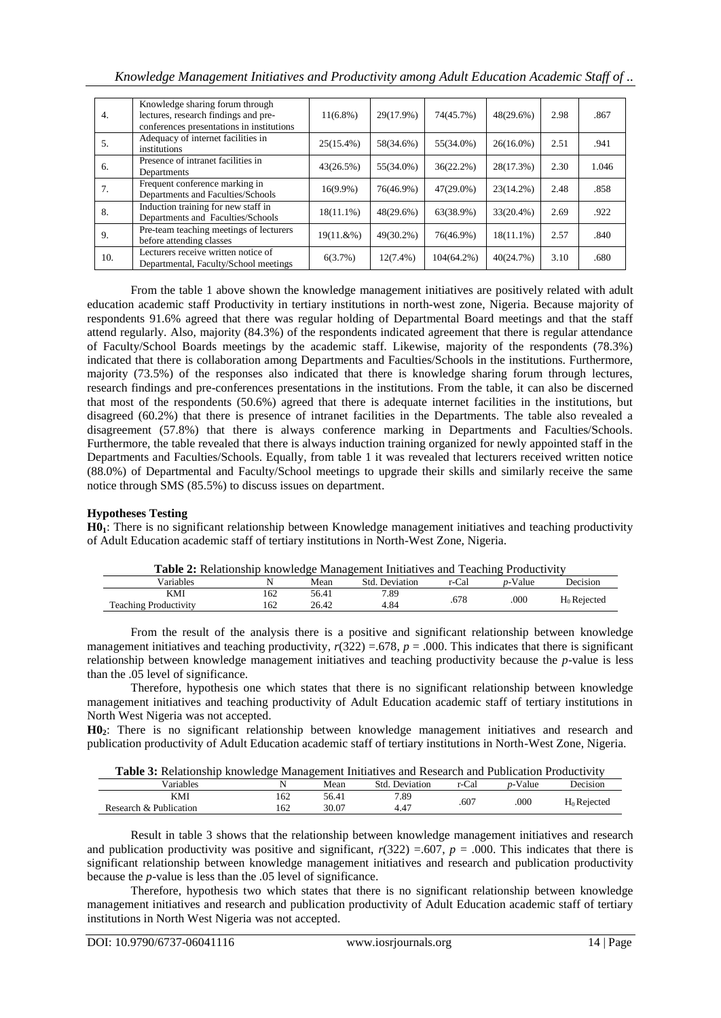| Knowledge Management Initiatives and Productivity among Adult Education Academic Staff of |  |  |  |  |
|-------------------------------------------------------------------------------------------|--|--|--|--|
|                                                                                           |  |  |  |  |
|                                                                                           |  |  |  |  |
|                                                                                           |  |  |  |  |

| $\overline{4}$ . | Knowledge sharing forum through<br>lectures, research findings and pre-<br>conferences presentations in institutions | $11(6.8\%)$  | 29(17.9%)   | 74(45.7%)     | 48(29.6%)    | 2.98 | .867  |
|------------------|----------------------------------------------------------------------------------------------------------------------|--------------|-------------|---------------|--------------|------|-------|
| 5.               | Adequacy of internet facilities in<br>institutions                                                                   | 25(15.4%)    | 58(34.6%)   | 55(34.0%)     | $26(16.0\%)$ | 2.51 | .941  |
| 6.               | Presence of intranet facilities in<br>Departments                                                                    | 43(26.5%)    | 55(34.0%)   | 36(22.2%)     | 28(17.3%)    | 2.30 | 1.046 |
| 7.               | Frequent conference marking in<br>Departments and Faculties/Schools                                                  | $16(9.9\%)$  | 76(46.9%)   | $47(29.0\%)$  | $23(14.2\%)$ | 2.48 | .858  |
| 8.               | Induction training for new staff in<br>Departments and Faculties/Schools                                             | $18(11.1\%)$ | 48(29.6%)   | 63(38.9%)     | 33(20.4%)    | 2.69 | .922  |
| 9.               | Pre-team teaching meetings of lecturers<br>before attending classes                                                  | 19(11.&%)    | 49(30.2%)   | 76(46.9%)     | $18(11.1\%)$ | 2.57 | .840  |
| 10.              | Lecturers receive written notice of<br>Departmental, Faculty/School meetings                                         | 6(3.7%)      | $12(7.4\%)$ | $104(64.2\%)$ | 40(24.7%)    | 3.10 | .680  |

From the table 1 above shown the knowledge management initiatives are positively related with adult education academic staff Productivity in tertiary institutions in north-west zone, Nigeria. Because majority of respondents 91.6% agreed that there was regular holding of Departmental Board meetings and that the staff attend regularly. Also, majority (84.3%) of the respondents indicated agreement that there is regular attendance of Faculty/School Boards meetings by the academic staff. Likewise, majority of the respondents (78.3%) indicated that there is collaboration among Departments and Faculties/Schools in the institutions. Furthermore, majority (73.5%) of the responses also indicated that there is knowledge sharing forum through lectures, research findings and pre-conferences presentations in the institutions. From the table, it can also be discerned that most of the respondents (50.6%) agreed that there is adequate internet facilities in the institutions, but disagreed (60.2%) that there is presence of intranet facilities in the Departments. The table also revealed a disagreement (57.8%) that there is always conference marking in Departments and Faculties/Schools. Furthermore, the table revealed that there is always induction training organized for newly appointed staff in the Departments and Faculties/Schools. Equally, from table 1 it was revealed that lecturers received written notice (88.0%) of Departmental and Faculty/School meetings to upgrade their skills and similarly receive the same notice through SMS (85.5%) to discuss issues on department.

### **Hypotheses Testing**

**H01**: There is no significant relationship between Knowledge management initiatives and teaching productivity of Adult Education academic staff of tertiary institutions in North-West Zone, Nigeria.

| <b>Table 2:</b> Relationship knowledge Management Initiatives and Teaching Productivity |     |       |                |       |                 |                |  |  |  |
|-----------------------------------------------------------------------------------------|-----|-------|----------------|-------|-----------------|----------------|--|--|--|
| Variables                                                                               |     | Mean  | Std. Deviation | r-Cal | <i>n</i> -Value | Decision       |  |  |  |
| KMI                                                                                     | 162 | 56.41 | 7.89           | .678  | .000            |                |  |  |  |
| <b>Teaching Productivity</b>                                                            | 162 | 26.42 | 4.84           |       |                 | $H_0$ Rejected |  |  |  |

**Table 2:** Relationship knowledge Management Initiatives and Teaching Productivity

From the result of the analysis there is a positive and significant relationship between knowledge management initiatives and teaching productivity,  $r(322) = .678$ ,  $p = .000$ . This indicates that there is significant relationship between knowledge management initiatives and teaching productivity because the *p*-value is less than the .05 level of significance.

Therefore, hypothesis one which states that there is no significant relationship between knowledge management initiatives and teaching productivity of Adult Education academic staff of tertiary institutions in North West Nigeria was not accepted.

**H02**: There is no significant relationship between knowledge management initiatives and research and publication productivity of Adult Education academic staff of tertiary institutions in North-West Zone, Nigeria.

| <b>Table 3:</b> Relationship knowledge Management Initiatives and Research and Publication Productivity |      |               |       |                 |          |
|---------------------------------------------------------------------------------------------------------|------|---------------|-------|-----------------|----------|
| <b>Variables</b>                                                                                        | Mean | Std Deviation | r-Cal | <i>n</i> -Value | Decision |

| variables              |     | Mean  | Std<br>Deviation | r-Cal | - Value<br>$n_{-}$ | Jecision       |
|------------------------|-----|-------|------------------|-------|--------------------|----------------|
| KMI                    | 162 | 56.41 | 7.89             | .607  | .000               | $H_0$ Rejected |
| Research & Publication | 162 | 30.07 | 4.47             |       |                    |                |

Result in table 3 shows that the relationship between knowledge management initiatives and research and publication productivity was positive and significant,  $r(322) = .607$ ,  $p = .000$ . This indicates that there is significant relationship between knowledge management initiatives and research and publication productivity because the *p*-value is less than the .05 level of significance.

Therefore, hypothesis two which states that there is no significant relationship between knowledge management initiatives and research and publication productivity of Adult Education academic staff of tertiary institutions in North West Nigeria was not accepted.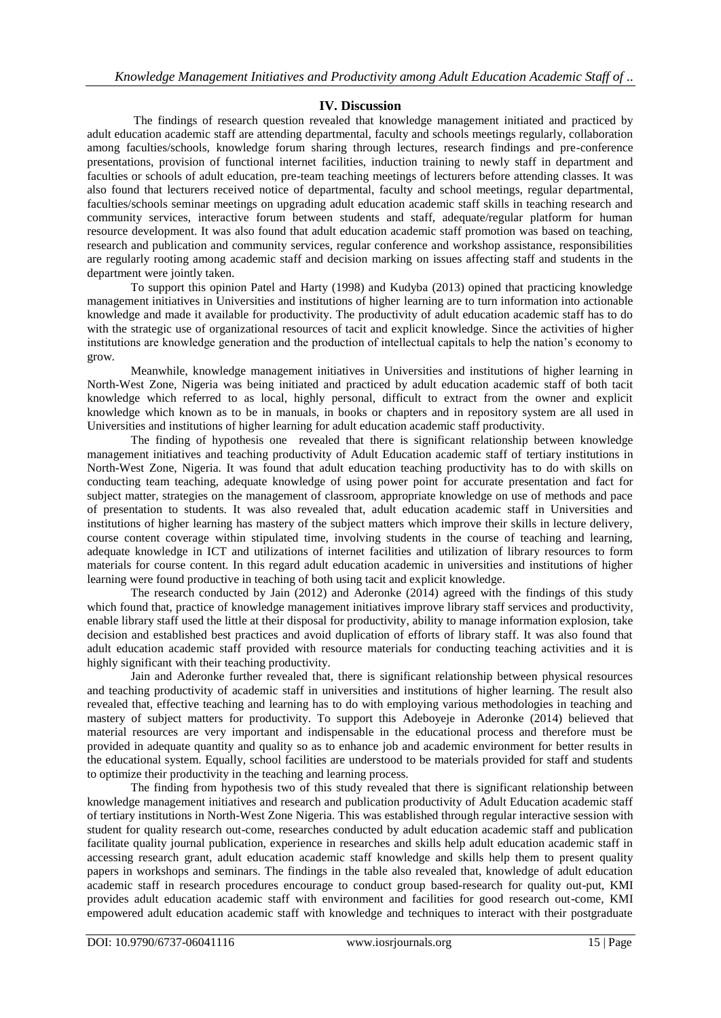## **IV. Discussion**

The findings of research question revealed that knowledge management initiated and practiced by adult education academic staff are attending departmental, faculty and schools meetings regularly, collaboration among faculties/schools, knowledge forum sharing through lectures, research findings and pre-conference presentations, provision of functional internet facilities, induction training to newly staff in department and faculties or schools of adult education, pre-team teaching meetings of lecturers before attending classes. It was also found that lecturers received notice of departmental, faculty and school meetings, regular departmental, faculties/schools seminar meetings on upgrading adult education academic staff skills in teaching research and community services, interactive forum between students and staff, adequate/regular platform for human resource development. It was also found that adult education academic staff promotion was based on teaching, research and publication and community services, regular conference and workshop assistance, responsibilities are regularly rooting among academic staff and decision marking on issues affecting staff and students in the department were jointly taken.

To support this opinion Patel and Harty (1998) and Kudyba (2013) opined that practicing knowledge management initiatives in Universities and institutions of higher learning are to turn information into actionable knowledge and made it available for productivity. The productivity of adult education academic staff has to do with the strategic use of organizational resources of tacit and explicit knowledge. Since the activities of higher institutions are knowledge generation and the production of intellectual capitals to help the nation's economy to grow.

Meanwhile, knowledge management initiatives in Universities and institutions of higher learning in North-West Zone, Nigeria was being initiated and practiced by adult education academic staff of both tacit knowledge which referred to as local, highly personal, difficult to extract from the owner and explicit knowledge which known as to be in manuals, in books or chapters and in repository system are all used in Universities and institutions of higher learning for adult education academic staff productivity.

The finding of hypothesis one revealed that there is significant relationship between knowledge management initiatives and teaching productivity of Adult Education academic staff of tertiary institutions in North-West Zone, Nigeria. It was found that adult education teaching productivity has to do with skills on conducting team teaching, adequate knowledge of using power point for accurate presentation and fact for subject matter, strategies on the management of classroom, appropriate knowledge on use of methods and pace of presentation to students. It was also revealed that, adult education academic staff in Universities and institutions of higher learning has mastery of the subject matters which improve their skills in lecture delivery, course content coverage within stipulated time, involving students in the course of teaching and learning, adequate knowledge in ICT and utilizations of internet facilities and utilization of library resources to form materials for course content. In this regard adult education academic in universities and institutions of higher learning were found productive in teaching of both using tacit and explicit knowledge.

The research conducted by Jain (2012) and Aderonke (2014) agreed with the findings of this study which found that, practice of knowledge management initiatives improve library staff services and productivity, enable library staff used the little at their disposal for productivity, ability to manage information explosion, take decision and established best practices and avoid duplication of efforts of library staff. It was also found that adult education academic staff provided with resource materials for conducting teaching activities and it is highly significant with their teaching productivity.

Jain and Aderonke further revealed that, there is significant relationship between physical resources and teaching productivity of academic staff in universities and institutions of higher learning. The result also revealed that, effective teaching and learning has to do with employing various methodologies in teaching and mastery of subject matters for productivity. To support this Adeboyeje in Aderonke (2014) believed that material resources are very important and indispensable in the educational process and therefore must be provided in adequate quantity and quality so as to enhance job and academic environment for better results in the educational system. Equally, school facilities are understood to be materials provided for staff and students to optimize their productivity in the teaching and learning process.

The finding from hypothesis two of this study revealed that there is significant relationship between knowledge management initiatives and research and publication productivity of Adult Education academic staff of tertiary institutions in North-West Zone Nigeria. This was established through regular interactive session with student for quality research out-come, researches conducted by adult education academic staff and publication facilitate quality journal publication, experience in researches and skills help adult education academic staff in accessing research grant, adult education academic staff knowledge and skills help them to present quality papers in workshops and seminars. The findings in the table also revealed that, knowledge of adult education academic staff in research procedures encourage to conduct group based-research for quality out-put, KMI provides adult education academic staff with environment and facilities for good research out-come, KMI empowered adult education academic staff with knowledge and techniques to interact with their postgraduate